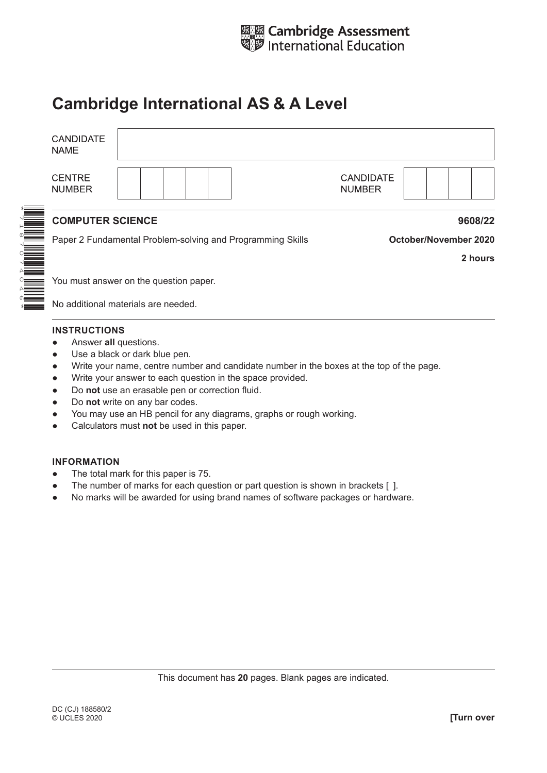

# **Cambridge International AS & A Level**

| <b>CANDIDATE</b><br><b>NAME</b>     |                                                            |                                   |                              |  |
|-------------------------------------|------------------------------------------------------------|-----------------------------------|------------------------------|--|
| <b>CENTRE</b><br><b>NUMBER</b>      |                                                            | <b>CANDIDATE</b><br><b>NUMBER</b> |                              |  |
| <b>COMPUTER SCIENCE</b>             |                                                            |                                   | 9608/22                      |  |
|                                     | Paper 2 Fundamental Problem-solving and Programming Skills |                                   | <b>October/November 2020</b> |  |
|                                     |                                                            |                                   | 2 hours                      |  |
|                                     | You must answer on the question paper.                     |                                   |                              |  |
| No additional materials are needed. |                                                            |                                   |                              |  |

#### **INSTRUCTIONS**

- Answer **all** questions.
- Use a black or dark blue pen.
- Write your name, centre number and candidate number in the boxes at the top of the page.
- Write your answer to each question in the space provided.
- Do **not** use an erasable pen or correction fluid.
- Do **not** write on any bar codes.
- You may use an HB pencil for any diagrams, graphs or rough working.
- Calculators must **not** be used in this paper.

#### **INFORMATION**

- The total mark for this paper is 75.
- The number of marks for each question or part question is shown in brackets [ ].
- No marks will be awarded for using brand names of software packages or hardware.

This document has **20** pages. Blank pages are indicated.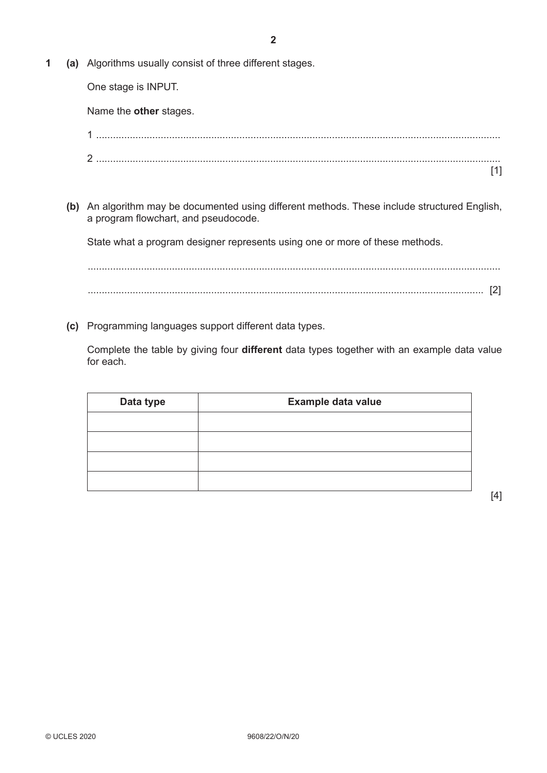**1 (a)** Algorithms usually consist of three different stages.

One stage is INPUT.

Name the **other** stages.

**(b)** An algorithm may be documented using different methods. These include structured English, a program flowchart, and pseudocode.

State what a program designer represents using one or more of these methods.

................................................................................................................................................... ............................................................................................................................................. [2]

**(c)** Programming languages support different data types.

Complete the table by giving four **different** data types together with an example data value for each.

| Data type | Example data value |
|-----------|--------------------|
|           |                    |
|           |                    |
|           |                    |
|           |                    |

[1]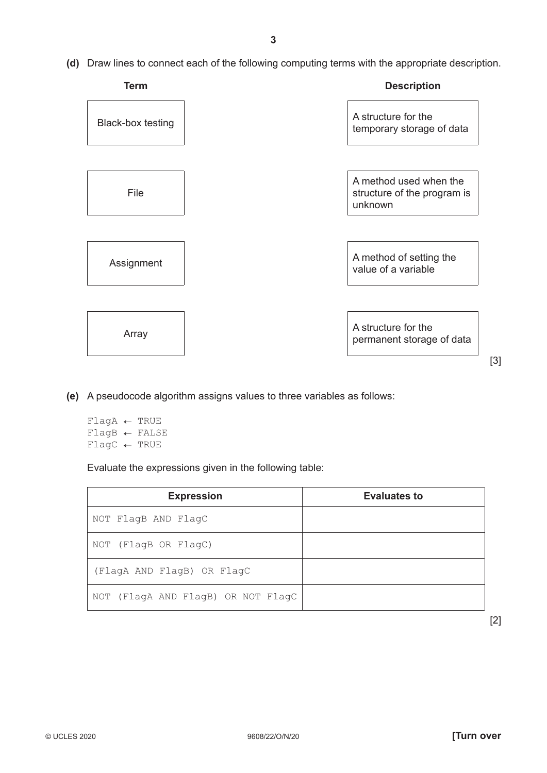**(d)** Draw lines to connect each of the following computing terms with the appropriate description.



- **(e)** A pseudocode algorithm assigns values to three variables as follows:
	- $\texttt{FlagA} \leftarrow \texttt{TRUE}$  $\texttt{FlagB} \leftarrow \texttt{FALSE}$  $\text{FlagC} \leftarrow \text{TRUE}$

Evaluate the expressions given in the following table:

| <b>Expression</b>                  | <b>Evaluates to</b> |
|------------------------------------|---------------------|
| NOT FlagB AND FlagC                |                     |
| NOT (FlagB OR FlagC)               |                     |
| (FlagA AND FlagB) OR FlagC         |                     |
| NOT (FlagA AND FlagB) OR NOT FlagC |                     |

[2]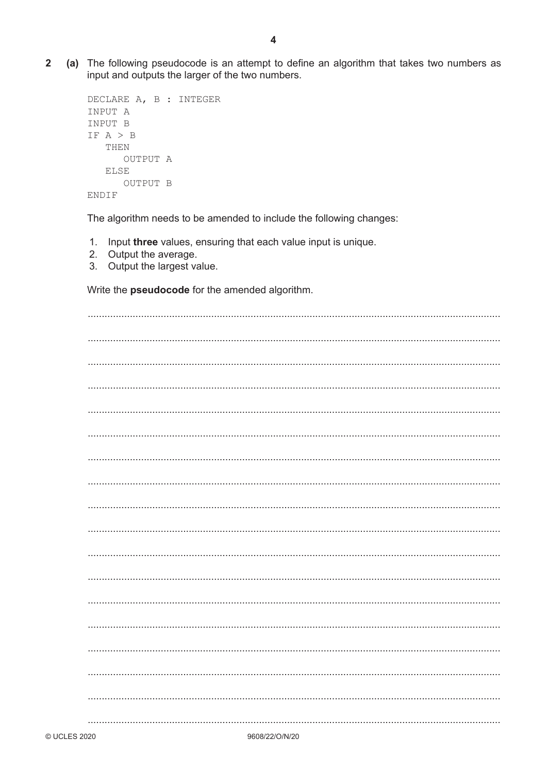$\overline{2}$ (a) The following pseudocode is an attempt to define an algorithm that takes two numbers as input and outputs the larger of the two numbers.

```
DECLARE A, B : INTEGER
INPUT A
INPUT B
IF A > BTHEN
      OUTPUT A
  ELSE
     OUTPUT B
ENDIF
```
The algorithm needs to be amended to include the following changes:

- 1. Input three values, ensuring that each value input is unique.
- 2. Output the average.
- 3. Output the largest value.

Write the **pseudocode** for the amended algorithm.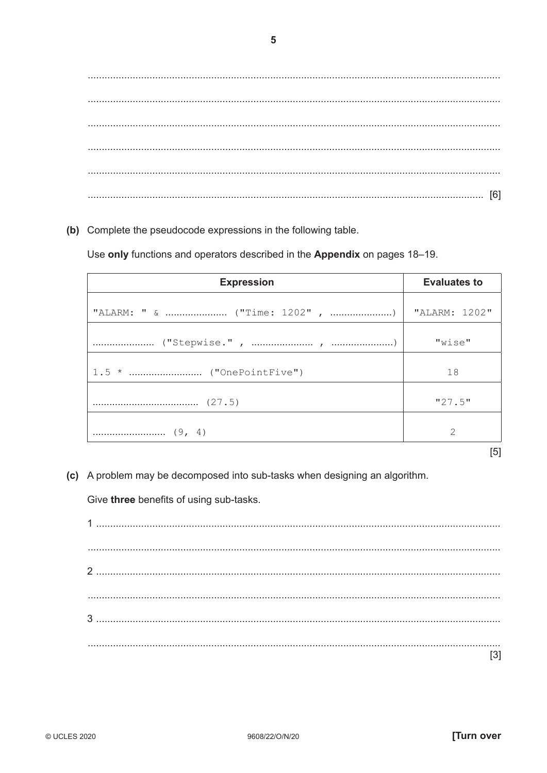(b) Complete the pseudocode expressions in the following table.

Use only functions and operators described in the Appendix on pages 18-19.

| <b>Expression</b> | <b>Evaluates to</b>                                                                                         |
|-------------------|-------------------------------------------------------------------------------------------------------------|
|                   | "ALARM: 1202"                                                                                               |
|                   | "wise"                                                                                                      |
|                   | 18                                                                                                          |
|                   | "27.5"                                                                                                      |
|                   | $\mathcal{D}_{1}^{(1)}\mathcal{D}_{2}^{(2)}\mathcal{D}_{3}^{(3)}\mathcal{D}_{4}^{(4)}\mathcal{D}_{5}^{(5)}$ |

- $[5]$
- (c) A problem may be decomposed into sub-tasks when designing an algorithm.

Give three benefits of using sub-tasks.

 $[3]$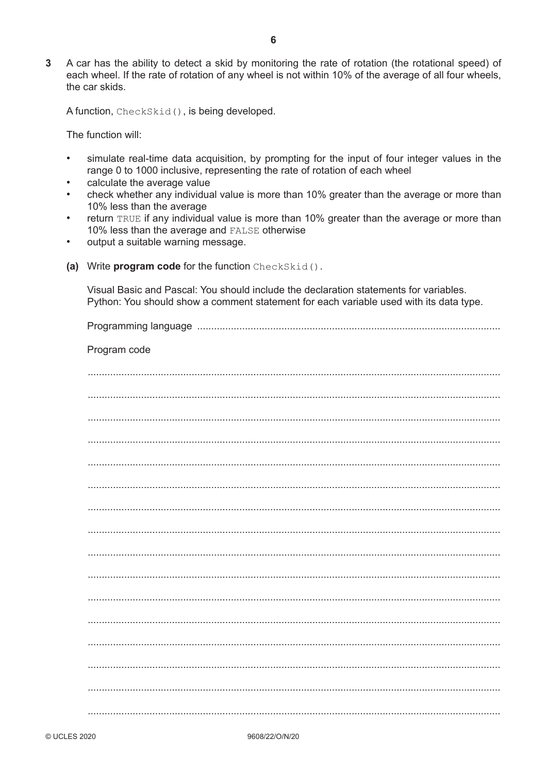$\mathbf{3}$ A car has the ability to detect a skid by monitoring the rate of rotation (the rotational speed) of each wheel. If the rate of rotation of any wheel is not within 10% of the average of all four wheels, the car skids.

A function, CheckSkid(), is being developed.

The function will:

- simulate real-time data acquisition, by prompting for the input of four integer values in the range 0 to 1000 inclusive, representing the rate of rotation of each wheel
- calculate the average value
- check whether any individual value is more than 10% greater than the average or more than 10% less than the average
- return TRUE if any individual value is more than 10% greater than the average or more than  $\bullet$ 10% less than the average and FALSE otherwise
- $\bullet$ output a suitable warning message.
- (a) Write program code for the function CheckSkid().

Visual Basic and Pascal: You should include the declaration statements for variables. Python: You should show a comment statement for each variable used with its data type.

| Program code |
|--------------|
|              |
|              |
|              |
|              |
|              |
|              |
|              |
|              |
|              |
|              |
|              |
|              |
|              |
|              |
|              |
|              |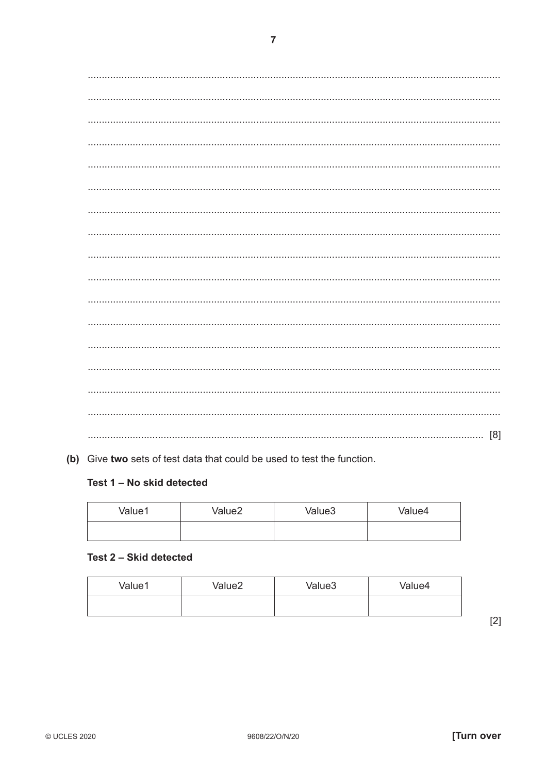(b) Give two sets of test data that could be used to test the function.

### Test 1 - No skid detected

| Value1 | Value <sub>2</sub> | Value3 | Value4 |
|--------|--------------------|--------|--------|
|        |                    |        |        |

#### Test 2 - Skid detected

| Value1 | Value2 | Value3 | Value4 |
|--------|--------|--------|--------|
|        |        |        |        |

 $[2]$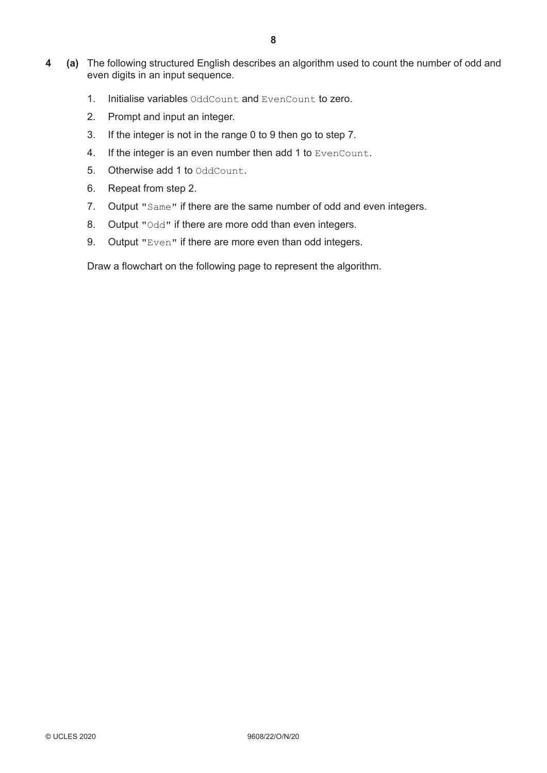- **4 (a)** The following structured English describes an algorithm used to count the number of odd and even digits in an input sequence.
	- 1. Initialise variables OddCount and EvenCount to zero.
	- 2. Prompt and input an integer.
	- 3. If the integer is not in the range 0 to 9 then go to step 7.
	- 4. If the integer is an even number then add 1 to EvenCount.
	- **5.** Otherwise add 1 to OddCount.
	- 6. Repeat from step 2.
	- 7. Output "Same" if there are the same number of odd and even integers.
	- 8. Output "Odd" if there are more odd than even integers.
	- 9. Output "Even" if there are more even than odd integers.

Draw a flowchart on the following page to represent the algorithm.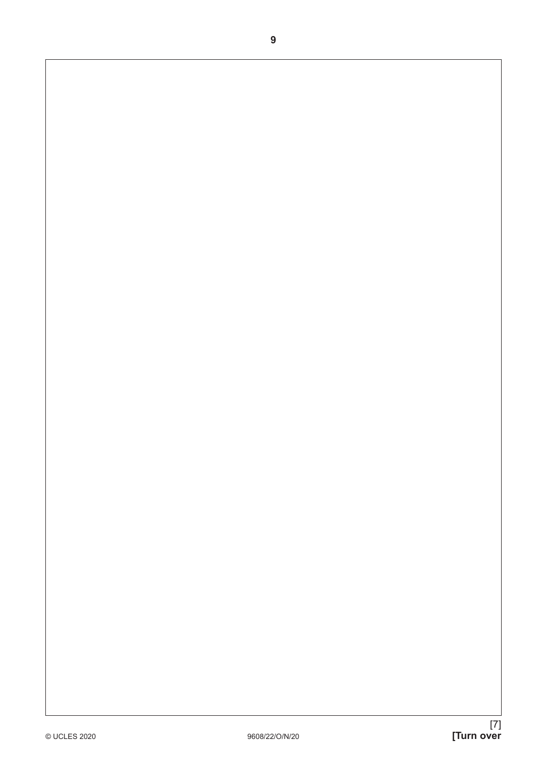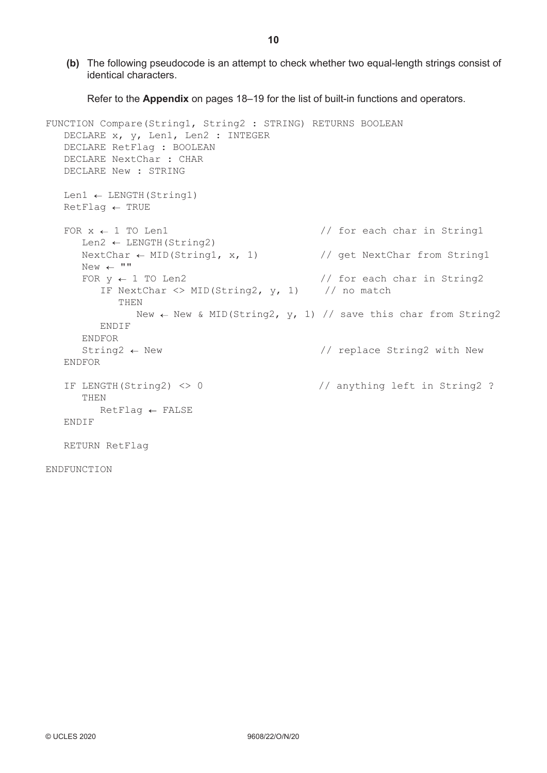**(b)** The following pseudocode is an attempt to check whether two equal-length strings consist of identical characters.

Refer to the **Appendix** on pages 18–19 for the list of built-in functions and operators.

```
FUNCTION Compare(String1, String2 : STRING) RETURNS BOOLEAN
    DECLARE x, y, Len1, Len2 : INTEGER
    DECLARE RetFlag : BOOLEAN
    DECLARE NextChar : CHAR
    DECLARE New : STRING
   Len1 \leftarrow LENGTH(String1)
  RetFlag \leftarrow TRUEFOR x \leftarrow 1 TO Len1 \frac{1}{x} 1 TO Len1
      Len2 \leftarrow LENGTH (String2)
      NextChar \leftarrow MID(String1, x, 1) // get NextChar from String1
     New \leftarrow ""<br>FOR y \leftarrow 1 TO Len2
                                               // for each char in String2
         IF NextChar \langle \rangle MID(String2, y, 1) // no match
             THEN
               New \leftarrow New & MID(String2, y, 1) // save this char from String2
          ENDIF
       ENDFOR
      String 2 \leftarrow New \left/ \right/ replace String 2 with New
   ENDFOR
    IF LENGTH(String2) <> 0 // anything left in String2 ?
       THEN
        RetFlag \leftarrow FALSE ENDIF
   RETURN RetFlag
```
**ENDFUNCTION** 

**10**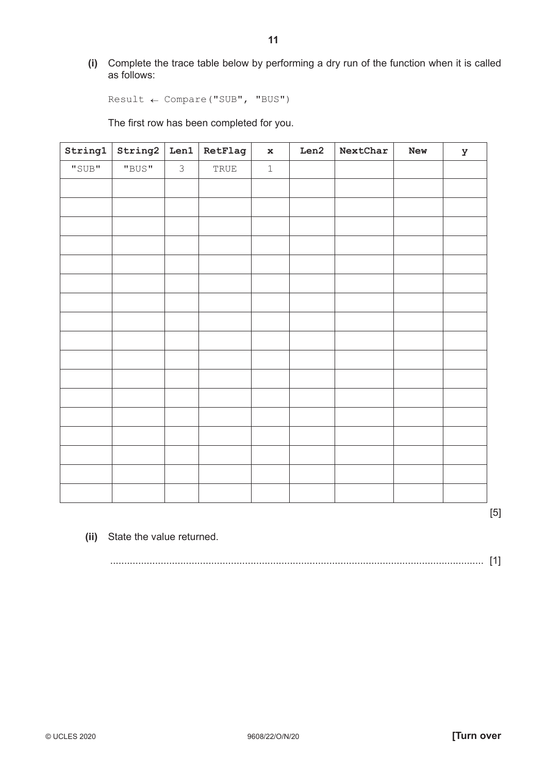**(i)** Complete the trace table below by performing a dry run of the function when it is called as follows:

 $Result \leftarrow Compare("SUB", "BUS")$ 

The first row has been completed for you.

| String1 | String2 | Len1           | RetFlag                        | $\mathbf x$ | Len2 | NextChar | New | У |
|---------|---------|----------------|--------------------------------|-------------|------|----------|-----|---|
| "SUB"   | "BUS"   | $\mathfrak{Z}$ | $\operatorname{\mathsf{TRUE}}$ | $\mathbf 1$ |      |          |     |   |
|         |         |                |                                |             |      |          |     |   |
|         |         |                |                                |             |      |          |     |   |
|         |         |                |                                |             |      |          |     |   |
|         |         |                |                                |             |      |          |     |   |
|         |         |                |                                |             |      |          |     |   |
|         |         |                |                                |             |      |          |     |   |
|         |         |                |                                |             |      |          |     |   |
|         |         |                |                                |             |      |          |     |   |
|         |         |                |                                |             |      |          |     |   |
|         |         |                |                                |             |      |          |     |   |
|         |         |                |                                |             |      |          |     |   |
|         |         |                |                                |             |      |          |     |   |
|         |         |                |                                |             |      |          |     |   |
|         |         |                |                                |             |      |          |     |   |
|         |         |                |                                |             |      |          |     |   |
|         |         |                |                                |             |      |          |     |   |
|         |         |                |                                |             |      |          |     |   |
|         |         |                |                                |             |      |          |     |   |

[5]

 **(ii)** State the value returned.

|--|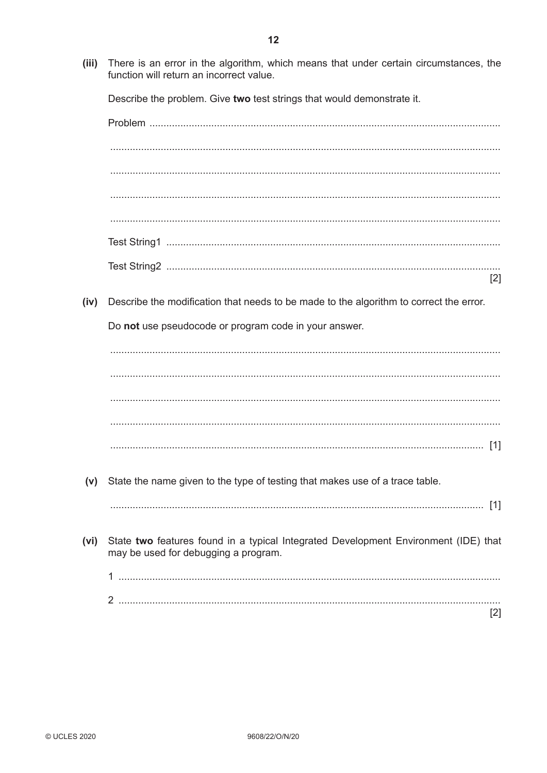There is an error in the algorithm, which means that under certain circumstances, the  $(iii)$ function will return an incorrect value.

Describe the problem. Give two test strings that would demonstrate it.

 $\lceil 2 \rceil$ Describe the modification that needs to be made to the algorithm to correct the error. (iv) Do not use pseudocode or program code in your answer.  $(v)$ State the name given to the type of testing that makes use of a trace table. State two features found in a typical Integrated Development Environment (IDE) that  $(vi)$ may be used for debugging a program.  $[2]$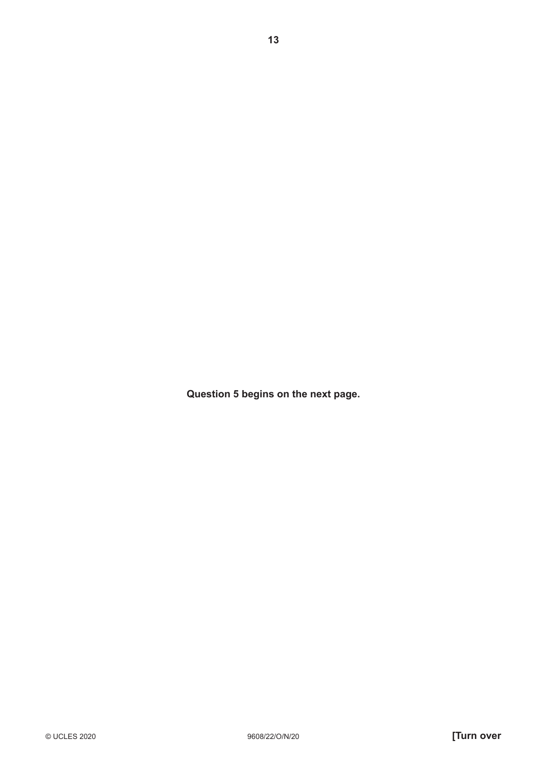**Question 5 begins on the next page.**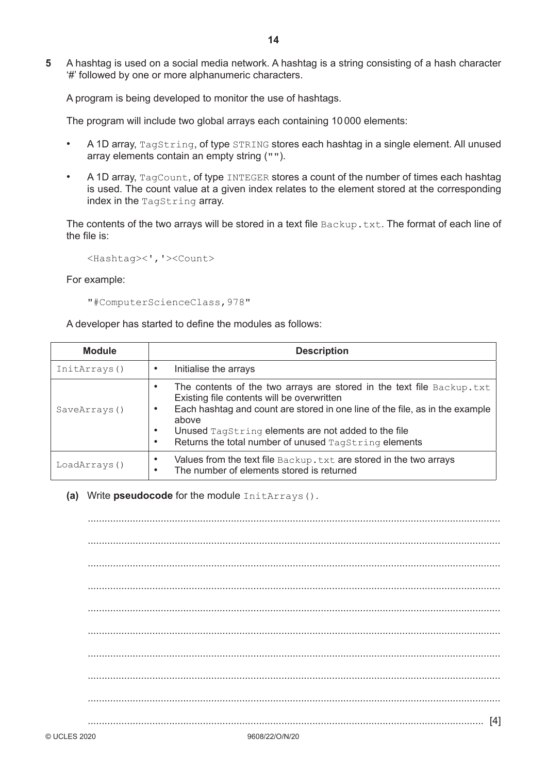**5** A hashtag is used on a social media network. A hashtag is a string consisting of a hash character '#' followed by one or more alphanumeric characters.

A program is being developed to monitor the use of hashtags.

The program will include two global arrays each containing 10 000 elements:

- A 1D array, TagString, of type STRING stores each hashtag in a single element. All unused array elements contain an empty string ("").
- A 1D array, TagCount, of type INTEGER stores a count of the number of times each hashtag is used. The count value at a given index relates to the element stored at the corresponding index in the TagString array.

The contents of the two arrays will be stored in a text file  $Backup.txt$ . The format of each line of the file is:

<Hashtag><','><Count>

For example:

"#ComputerScienceClass,978"

A developer has started to define the modules as follows:

| <b>Module</b> | <b>Description</b>                                                                                                                                                                                                                                                                                                                                                                 |  |  |  |
|---------------|------------------------------------------------------------------------------------------------------------------------------------------------------------------------------------------------------------------------------------------------------------------------------------------------------------------------------------------------------------------------------------|--|--|--|
| InitArrays()  | Initialise the arrays                                                                                                                                                                                                                                                                                                                                                              |  |  |  |
| SaveArrays()  | The contents of the two arrays are stored in the text file $Backup.txt$<br>$\bullet$<br>Existing file contents will be overwritten<br>Each hashtag and count are stored in one line of the file, as in the example<br>$\bullet$<br>above<br>Unused TagString elements are not added to the file<br>$\bullet$<br>Returns the total number of unused TagString elements<br>$\bullet$ |  |  |  |
| LoadArrays()  | Values from the text file Backup. txt are stored in the two arrays<br>$\bullet$<br>The number of elements stored is returned<br>$\bullet$                                                                                                                                                                                                                                          |  |  |  |

#### **(a)** Write **pseudocode** for the module InitArrays().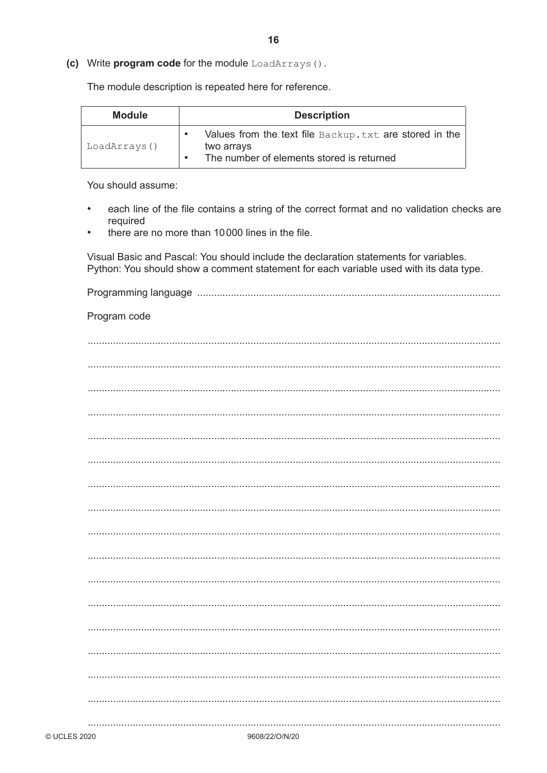(c) Write program code for the module LoadArrays().

The module description is repeated here for reference.

| <b>Module</b> | <b>Description</b>                                                                                                 |  |
|---------------|--------------------------------------------------------------------------------------------------------------------|--|
| LoadArrays()  | Values from the text file Backup. txt are stored in the<br>two arrays<br>The number of elements stored is returned |  |

16

You should assume:

- each line of the file contains a string of the correct format and no validation checks are  $\bullet$ required
- there are no more than 10000 lines in the file.

Visual Basic and Pascal: You should include the declaration statements for variables. Python: You should show a comment statement for each variable used with its data type.

Program code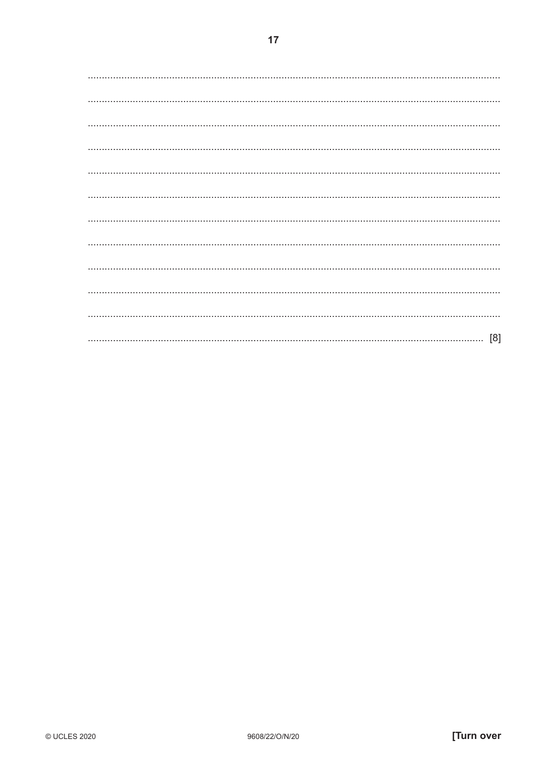$17$ 

| [8] |
|-----|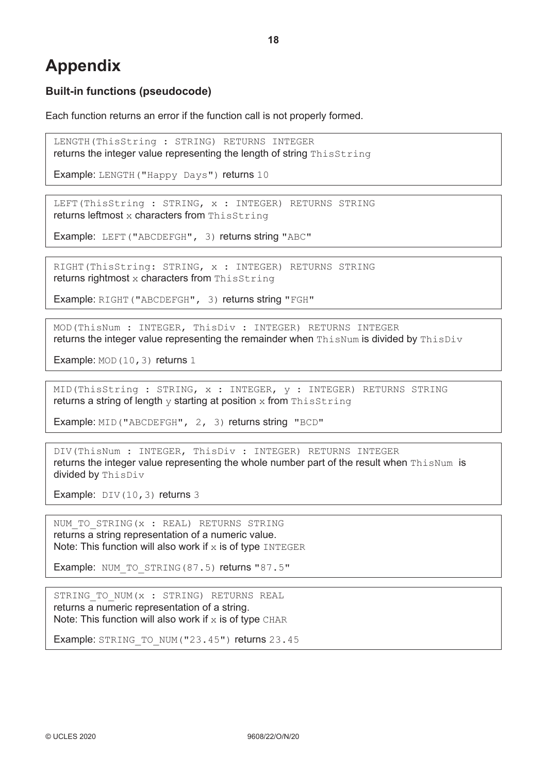# **Appendix**

### **Built-in functions (pseudocode)**

Each function returns an error if the function call is not properly formed.

LENGTH(ThisString : STRING) RETURNS INTEGER returns the integer value representing the length of string ThisString

Example: LENGTH("Happy Days") returns 10

LEFT(ThisString : STRING, x : INTEGER) RETURNS STRING returns leftmost x characters from ThisString

Example: LEFT("ABCDEFGH", 3) returns string "ABC"

RIGHT(ThisString: STRING, x : INTEGER) RETURNS STRING returns rightmost  $x$  characters from ThisString

Example: RIGHT("ABCDEFGH", 3) returns string "FGH"

MOD(ThisNum : INTEGER, ThisDiv : INTEGER) RETURNS INTEGER returns the integer value representing the remainder when  $\text{ThisNum}$  is divided by  $\text{ThisDiv}$ 

Example: MOD (10, 3) returns 1

MID(ThisString : STRING, x : INTEGER, y : INTEGER) RETURNS STRING returns a string of length  $y$  starting at position  $x$  from ThisString

Example: MID("ABCDEFGH", 2, 3) returns string "BCD"

DIV(ThisNum : INTEGER, ThisDiv : INTEGER) RETURNS INTEGER returns the integer value representing the whole number part of the result when ThisNum is divided by ThisDiv

Example: DIV(10,3) returns 3

NUM TO STRING(x : REAL) RETURNS STRING returns a string representation of a numeric value. Note: This function will also work if  $x$  is of type INTEGER

Example: NUM\_TO\_STRING(87.5) returns "87.5"

STRING TO NUM(x : STRING) RETURNS REAL returns a numeric representation of a string. Note: This function will also work if  $x$  is of type CHAR

Example: STRING\_TO\_NUM("23.45") returns 23.45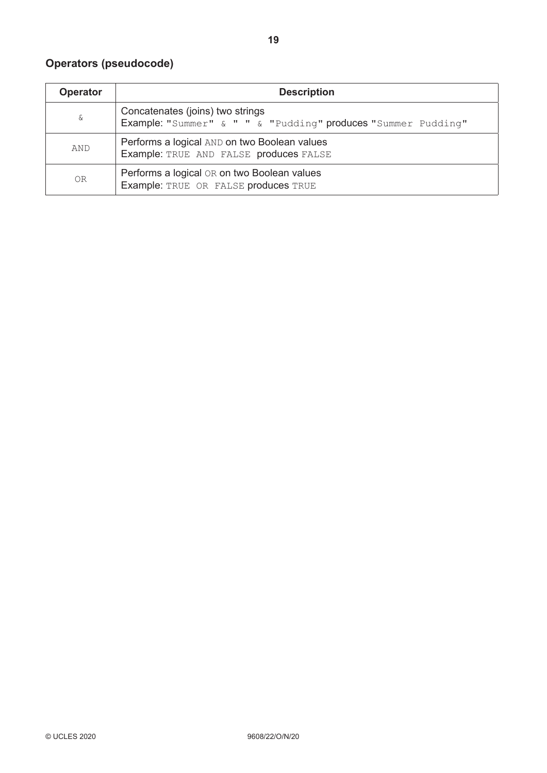## **Operators (pseudocode)**

| Operator | <b>Description</b>                                                                                |  |
|----------|---------------------------------------------------------------------------------------------------|--|
| &        | Concatenates (joins) two strings<br>Example: "Summer" & " " & "Pudding" produces "Summer Pudding" |  |
| AND      | Performs a logical AND on two Boolean values<br>Example: TRUE AND FALSE produces FALSE            |  |
| 0R       | Performs a logical OR on two Boolean values<br>Example: TRUE OR FALSE produces TRUE               |  |